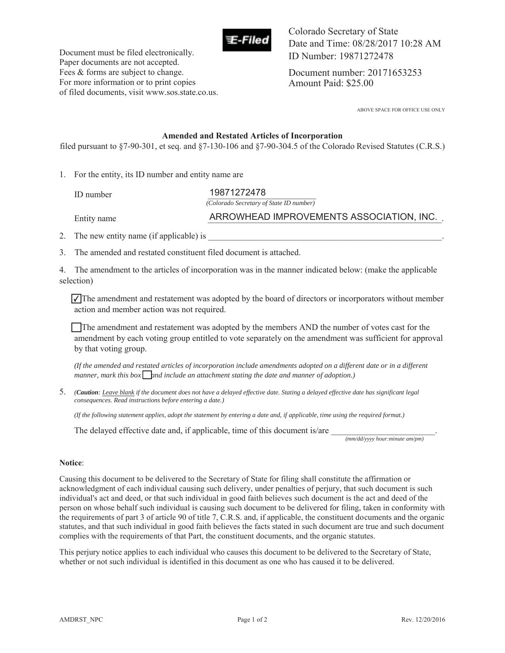

Document must be filed electronically. Paper documents are not accepted. Fees & forms are subject to change. For more information or to print copies

Colorado Secretary of State Date and Time: 08/28/2017 10:28 AM ID Number: 19871272478

Document number: 20171653253 Amount Paid: \$25.00

ABOVE SPACE FOR OFFICE USE ONLY

#### **Amended and Restated Articles of Incorporation**

filed pursuant to §7-90-301, et seq. and §7-130-106 and §7-90-304.5 of the Colorado Revised Statutes (C.R.S.)

1. For the entity, its ID number and entity name are

of filed documents, visit www.sos.state.co.us.

ID number \_\_\_\_\_\_\_\_\_\_\_\_\_\_\_\_\_\_\_\_\_\_\_\_\_ 19871272478 *(Colorado Secretary of State ID number)*

Entity name **Example 20 ARROWHEAD IMPROVEMENTS ASSOCIATION, INC.** 

2. The new entity name (if applicable) is

3. The amended and restated constituent filed document is attached.

4. The amendment to the articles of incorporation was in the manner indicated below: (make the applicable selection)

 $\sqrt{\ }$ The amendment and restatement was adopted by the board of directors or incorporators without member action and member action was not required.

The amendment and restatement was adopted by the members AND the number of votes cast for the amendment by each voting group entitled to vote separately on the amendment was sufficient for approval by that voting group.

*(If the amended and restated articles of incorporation include amendments adopted on a different date or in a different*  manner, mark this box  $\boxed{$  and include an attachment stating the date and manner of adoption.)

5. *(Caution: Leave blank if the document does not have a delayed effective date. Stating a delayed effective date has significant legal consequences. Read instructions before entering a date.)* 

*(If the following statement applies, adopt the statement by entering a date and, if applicable, time using the required format.)* 

The delayed effective date and, if applicable, time of this document is/are

 *(mm/dd/yyyy hour:minute am/pm)* 

#### **Notice**:

Causing this document to be delivered to the Secretary of State for filing shall constitute the affirmation or acknowledgment of each individual causing such delivery, under penalties of perjury, that such document is such individual's act and deed, or that such individual in good faith believes such document is the act and deed of the person on whose behalf such individual is causing such document to be delivered for filing, taken in conformity with the requirements of part 3 of article 90 of title 7, C.R.S. and, if applicable, the constituent documents and the organic statutes, and that such individual in good faith believes the facts stated in such document are true and such document complies with the requirements of that Part, the constituent documents, and the organic statutes.

This perjury notice applies to each individual who causes this document to be delivered to the Secretary of State, whether or not such individual is identified in this document as one who has caused it to be delivered.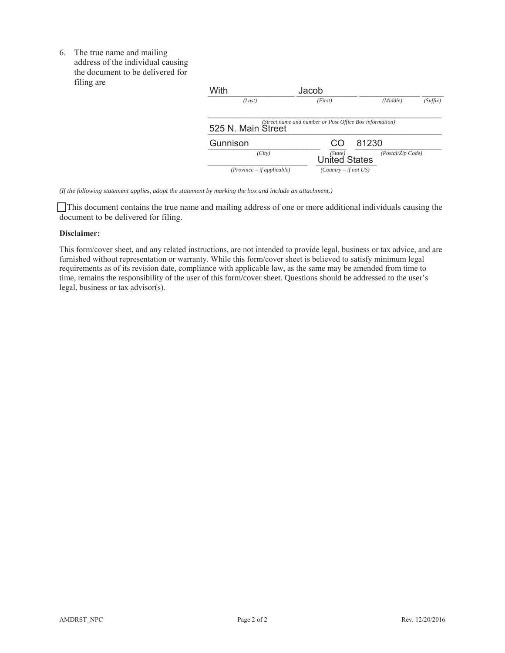6. The true name and mailing address of the individual causing the document to be delivered for filing are

| With                         | Jacob                                                   |       |                   |          |
|------------------------------|---------------------------------------------------------|-------|-------------------|----------|
| (Last)                       | (First)                                                 |       | (Middle)          | (Suffix) |
| 525 N. Main Street           | (Street name and number or Post Office Box information) |       |                   |          |
| Gunnison                     |                                                         | 81230 |                   |          |
| (City)                       | (State)<br><b>United States</b>                         |       | (Postal/Zip Code) |          |
| $(Province - if applicable)$ | $(Country - if not US)$                                 |       |                   |          |

*(If the following statement applies, adopt the statement by marking the box and include an attachment.)* 

 This document contains the true name and mailing address of one or more additional individuals causing the document to be delivered for filing.

#### **Disclaimer:**

This form/cover sheet, and any related instructions, are not intended to provide legal, business or tax advice, and are furnished without representation or warranty. While this form/cover sheet is believed to satisfy minimum legal requirements as of its revision date, compliance with applicable law, as the same may be amended from time to time, remains the responsibility of the user of this form/cover sheet. Questions should be addressed to the user's legal, business or tax advisor(s).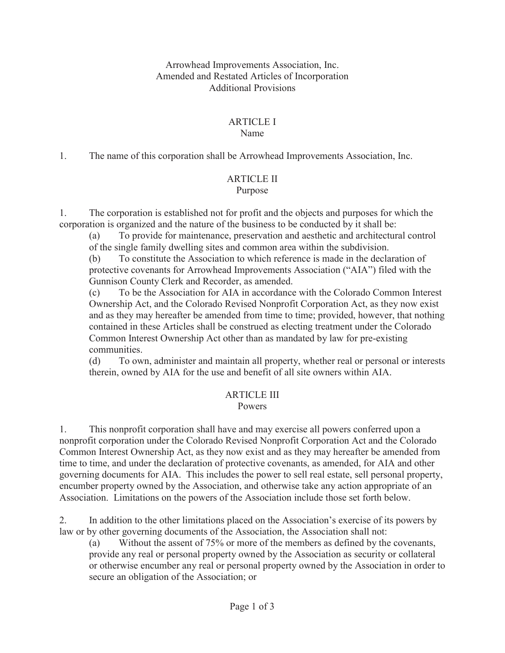#### Arrowhead Improvements Association, Inc. Amended and Restated Articles of Incorporation Additional Provisions

# ARTICLE I

#### Name

1. The name of this corporation shall be Arrowhead Improvements Association, Inc.

## ARTICLE II

### Purpose

1. The corporation is established not for profit and the objects and purposes for which the corporation is organized and the nature of the business to be conducted by it shall be:

(a) To provide for maintenance, preservation and aesthetic and architectural control of the single family dwelling sites and common area within the subdivision.

(b) To constitute the Association to which reference is made in the declaration of protective covenants for Arrowhead Improvements Association ("AIA") filed with the Gunnison County Clerk and Recorder, as amended.

(c) To be the Association for AIA in accordance with the Colorado Common Interest Ownership Act, and the Colorado Revised Nonprofit Corporation Act, as they now exist and as they may hereafter be amended from time to time; provided, however, that nothing contained in these Articles shall be construed as electing treatment under the Colorado Common Interest Ownership Act other than as mandated by law for pre-existing communities.

(d) To own, administer and maintain all property, whether real or personal or interests therein, owned by AIA for the use and benefit of all site owners within AIA.

#### ARTICLE III Powers

### 1. This nonprofit corporation shall have and may exercise all powers conferred upon a nonprofit corporation under the Colorado Revised Nonprofit Corporation Act and the Colorado Common Interest Ownership Act, as they now exist and as they may hereafter be amended from time to time, and under the declaration of protective covenants, as amended, for AIA and other governing documents for AIA. This includes the power to sell real estate, sell personal property, encumber property owned by the Association, and otherwise take any action appropriate of an Association. Limitations on the powers of the Association include those set forth below.

2. In addition to the other limitations placed on the Association's exercise of its powers by law or by other governing documents of the Association, the Association shall not:

(a) Without the assent of 75% or more of the members as defined by the covenants, provide any real or personal property owned by the Association as security or collateral or otherwise encumber any real or personal property owned by the Association in order to secure an obligation of the Association; or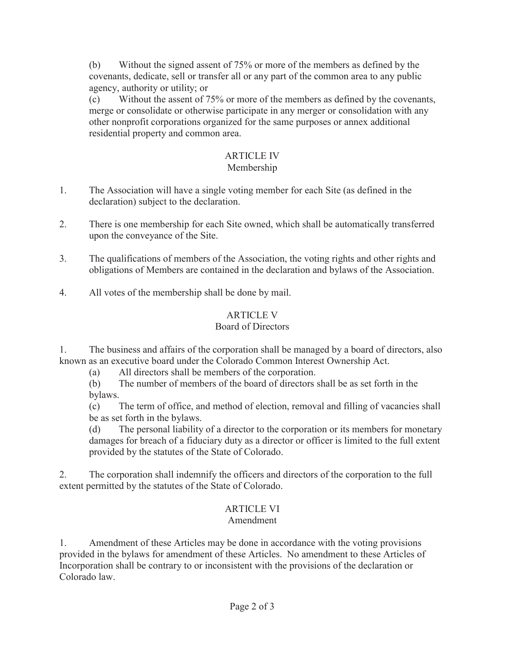(b) Without the signed assent of 75% or more of the members as defined by the covenants, dedicate, sell or transfer all or any part of the common area to any public agency, authority or utility; or

(c) Without the assent of 75% or more of the members as defined by the covenants, merge or consolidate or otherwise participate in any merger or consolidation with any other nonprofit corporations organized for the same purposes or annex additional residential property and common area.

# ARTICLE IV

## Membership

- 1. The Association will have a single voting member for each Site (as defined in the declaration) subject to the declaration.
- 2. There is one membership for each Site owned, which shall be automatically transferred upon the conveyance of the Site.
- 3. The qualifications of members of the Association, the voting rights and other rights and obligations of Members are contained in the declaration and bylaws of the Association.
- 4. All votes of the membership shall be done by mail.

# ARTICLE V

## Board of Directors

1. The business and affairs of the corporation shall be managed by a board of directors, also known as an executive board under the Colorado Common Interest Ownership Act.

(a) All directors shall be members of the corporation.

(b) The number of members of the board of directors shall be as set forth in the bylaws.

(c) The term of office, and method of election, removal and filling of vacancies shall be as set forth in the bylaws.

(d) The personal liability of a director to the corporation or its members for monetary damages for breach of a fiduciary duty as a director or officer is limited to the full extent provided by the statutes of the State of Colorado.

2. The corporation shall indemnify the officers and directors of the corporation to the full extent permitted by the statutes of the State of Colorado.

# ARTICLE VI

### Amendment

1. Amendment of these Articles may be done in accordance with the voting provisions provided in the bylaws for amendment of these Articles. No amendment to these Articles of Incorporation shall be contrary to or inconsistent with the provisions of the declaration or Colorado law.